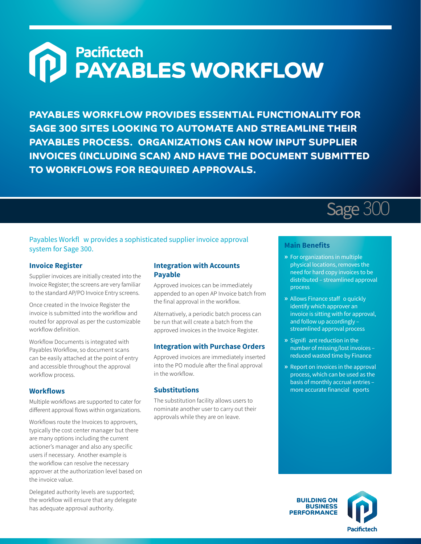# **(P)** Pacifictech<br> **PAYABLES WORKFLOW**

**PAYABLES WORKFLOW PROVIDES ESSENTIAL FUNCTIONALITY FOR SAGE 300 SITES LOOKING TO AUTOMATE AND STREAMLINE THEIR PAYABLES PROCESS. ORGANIZATIONS CAN NOW INPUT SUPPLIER INVOICES (INCLUDING SCAN) AND HAVE THE DOCUMENT SUBMITTED TO WORKFLOWS FOR REQUIRED APPROVALS.**

# Sage 300

### Payables Workfl w provides a sophisticated supplier invoice approval system for Sage 300.

#### **Invoice Register**

Supplier invoices are initially created into the Invoice Register; the screens are very familiar to the standard AP/PO Invoice Entry screens.

Once created in the Invoice Register the invoice is submitted into the workflow and routed for approval as per the customizable workflow definition.

Workflow Documents is integrated with Payables Workflow, so document scans can be easily attached at the point of entry and accessible throughout the approval workflow process.

#### **Workflows**

Multiple workflows are supported to cater for different approval flows within organizations.

Workflows route the Invoices to approvers, typically the cost center manager but there are many options including the current actioner's manager and also any specific users if necessary. Another example is the workflow can resolve the necessary approver at the authorization level based on the invoice value.

Delegated authority levels are supported; the workflow will ensure that any delegate has adequate approval authority.

#### **Integration with Accounts Payable**

Approved invoices can be immediately appended to an open AP Invoice batch from the final approval in the workflow.

Alternatively, a periodic batch process can be run that will create a batch from the approved invoices in the Invoice Register.

#### **Integration with Purchase Orders**

Approved invoices are immediately inserted into the PO module after the final approval in the workflow.

#### **Substitutions**

The substitution facility allows users to nominate another user to carry out their approvals while they are on leave.

## **Main Benefits**

- **»** For organizations in multiple physical locations, removes the need for hard copy invoices to be distributed – streamlined approval process
- **»** Allows Finance staff o quickly identify which approver an invoice is sitting with for approval, and follow up accordingly – streamlined approval process
- **»** Signifi ant reduction in the number of missing/lost invoices – reduced wasted time by Finance
- **»** Report on invoices in the approval process, which can be used as the basis of monthly accrual entries – more accurate financial eports